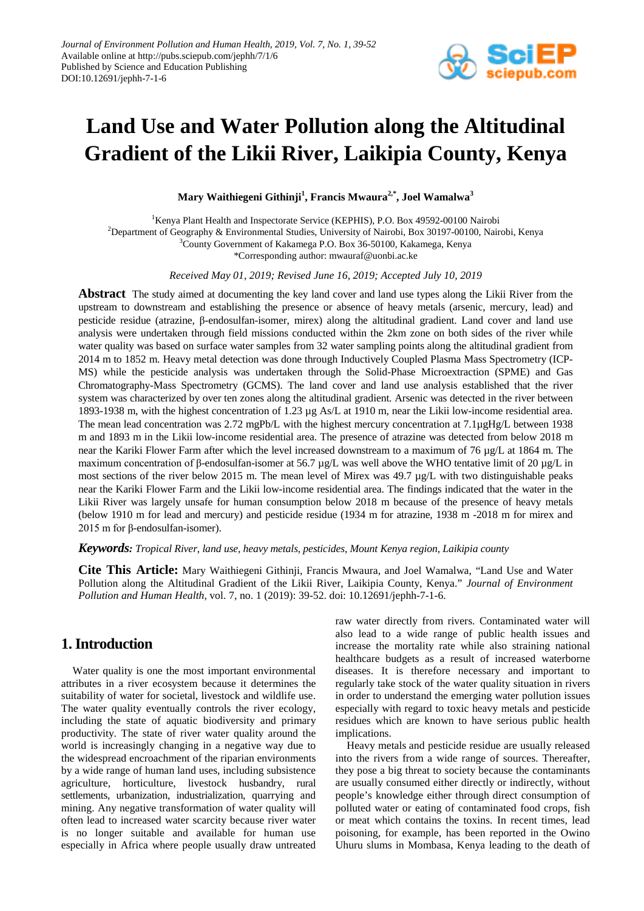

# **Land Use and Water Pollution along the Altitudinal Gradient of the Likii River, Laikipia County, Kenya**

**Mary Waithiegeni Githinji1 , Francis Mwaura2,\* , Joel Wamalwa<sup>3</sup>**

<sup>1</sup>Kenya Plant Health and Inspectorate Service (KEPHIS), P.O. Box 49592-00100 Nairobi 2 Department of Geography & Environmental Studies, University of Nairobi, Box 30197-00100, Nairobi, Kenya 3 County Government of Kakamega P.O. Box 36-50100, Kakamega, Kenya \*Corresponding author: mwauraf@uonbi.ac.ke

*Received May 01, 2019; Revised June 16, 2019; Accepted July 10, 2019*

**Abstract** The study aimed at documenting the key land cover and land use types along the Likii River from the upstream to downstream and establishing the presence or absence of heavy metals (arsenic, mercury, lead) and pesticide residue (atrazine, β-endosulfan-isomer, mirex) along the altitudinal gradient. Land cover and land use analysis were undertaken through field missions conducted within the 2km zone on both sides of the river while water quality was based on surface water samples from 32 water sampling points along the altitudinal gradient from 2014 m to 1852 m. Heavy metal detection was done through Inductively Coupled Plasma Mass Spectrometry (ICP-MS) while the pesticide analysis was undertaken through the Solid-Phase Microextraction (SPME) and Gas Chromatography-Mass Spectrometry (GCMS). The land cover and land use analysis established that the river system was characterized by over ten zones along the altitudinal gradient. Arsenic was detected in the river between 1893-1938 m, with the highest concentration of 1.23 µg As/L at 1910 m, near the Likii low-income residential area. The mean lead concentration was 2.72 mgPb/L with the highest mercury concentration at 7.1µgHg/L between 1938 m and 1893 m in the Likii low-income residential area. The presence of atrazine was detected from below 2018 m near the Kariki Flower Farm after which the level increased downstream to a maximum of 76 µg/L at 1864 m. The maximum concentration of β-endosulfan-isomer at 56.7 µg/L was well above the WHO tentative limit of 20 µg/L in most sections of the river below 2015 m. The mean level of Mirex was 49.7 µg/L with two distinguishable peaks near the Kariki Flower Farm and the Likii low-income residential area. The findings indicated that the water in the Likii River was largely unsafe for human consumption below 2018 m because of the presence of heavy metals (below 1910 m for lead and mercury) and pesticide residue (1934 m for atrazine, 1938 m -2018 m for mirex and 2015 m for β-endosulfan-isomer).

#### *Keywords: Tropical River, land use, heavy metals, pesticides, Mount Kenya region, Laikipia county*

**Cite This Article:** Mary Waithiegeni Githinji, Francis Mwaura, and Joel Wamalwa, "Land Use and Water Pollution along the Altitudinal Gradient of the Likii River, Laikipia County, Kenya." *Journal of Environment Pollution and Human Health*, vol. 7, no. 1 (2019): 39-52. doi: 10.12691/jephh-7-1-6.

## **1. Introduction**

Water quality is one the most important environmental attributes in a river ecosystem because it determines the suitability of water for societal, livestock and wildlife use. The water quality eventually controls the river ecology, including the state of aquatic biodiversity and primary productivity. The state of river water quality around the world is increasingly changing in a negative way due to the widespread encroachment of the riparian environments by a wide range of human land uses, including subsistence agriculture, horticulture, livestock husbandry, rural settlements, urbanization, industrialization, quarrying and mining. Any negative transformation of water quality will often lead to increased water scarcity because river water is no longer suitable and available for human use especially in Africa where people usually draw untreated raw water directly from rivers. Contaminated water will also lead to a wide range of public health issues and increase the mortality rate while also straining national healthcare budgets as a result of increased waterborne diseases. It is therefore necessary and important to regularly take stock of the water quality situation in rivers in order to understand the emerging water pollution issues especially with regard to toxic heavy metals and pesticide residues which are known to have serious public health implications.

Heavy metals and pesticide residue are usually released into the rivers from a wide range of sources. Thereafter, they pose a big threat to society because the contaminants are usually consumed either directly or indirectly, without people's knowledge either through direct consumption of polluted water or eating of contaminated food crops, fish or meat which contains the toxins. In recent times, lead poisoning, for example, has been reported in the Owino Uhuru slums in Mombasa, Kenya leading to the death of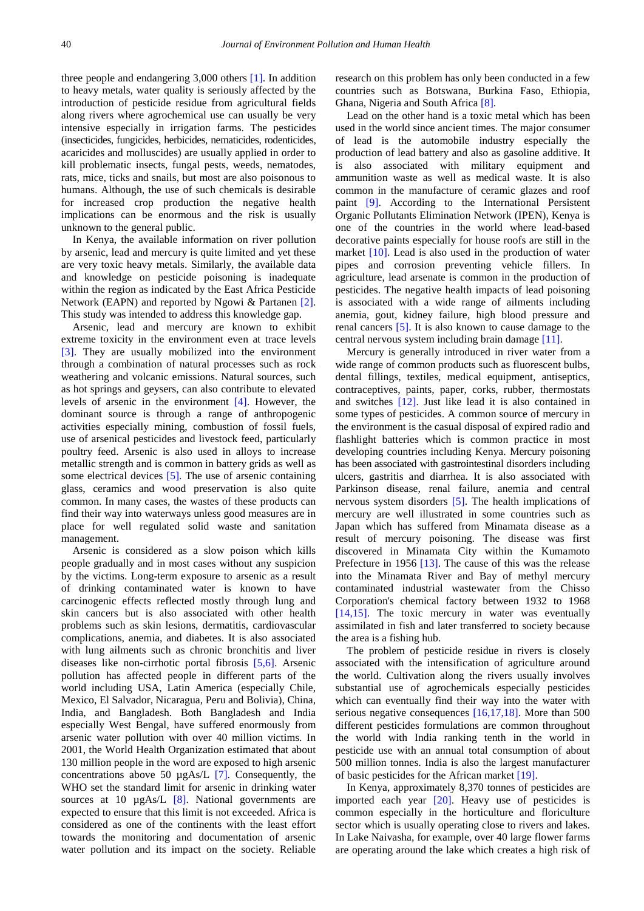three people and endangering 3,000 others [\[1\].](#page-12-0) In addition to heavy metals, water quality is seriously affected by the introduction of pesticide residue from agricultural fields along rivers where agrochemical use can usually be very intensive especially in irrigation farms. The pesticides (insecticides, fungicides, herbicides, nematicides, rodenticides, acaricides and molluscides) are usually applied in order to kill problematic insects, fungal pests, weeds, nematodes, rats, mice, ticks and snails, but most are also poisonous to humans. Although, the use of such chemicals is desirable for increased crop production the negative health implications can be enormous and the risk is usually unknown to the general public.

In Kenya, the available information on river pollution by arsenic, lead and mercury is quite limited and yet these are very toxic heavy metals. Similarly, the available data and knowledge on pesticide poisoning is inadequate within the region as indicated by the East Africa Pesticide Network (EAPN) and reported by Ngowi & Partanen [\[2\].](#page-12-1) This study was intended to address this knowledge gap.

Arsenic, lead and mercury are known to exhibit extreme toxicity in the environment even at trace levels [\[3\].](#page-12-2) They are usually mobilized into the environment through a combination of natural processes such as rock weathering and volcanic emissions. Natural sources, such as hot springs and geysers, can also contribute to elevated levels of arsenic in the environment [\[4\].](#page-12-3) However, the dominant source is through a range of anthropogenic activities especially mining, combustion of fossil fuels, use of arsenical pesticides and livestock feed, particularly poultry feed. Arsenic is also used in alloys to increase metallic strength and is common in battery grids as well as some electrical devices [\[5\].](#page-12-4) The use of arsenic containing glass, ceramics and wood preservation is also quite common. In many cases, the wastes of these products can find their way into waterways unless good measures are in place for well regulated solid waste and sanitation management.

Arsenic is considered as a slow poison which kills people gradually and in most cases without any suspicion by the victims. Long-term exposure to arsenic as a result of drinking contaminated water is known to have carcinogenic effects reflected mostly through lung and skin cancers but is also associated with other health problems such as skin lesions, dermatitis, cardiovascular complications, anemia, and diabetes. It is also associated with lung ailments such as chronic bronchitis and liver diseases like non-cirrhotic portal fibrosis [\[5,6\].](#page-12-4) Arsenic pollution has affected people in different parts of the world including USA, Latin America (especially Chile, Mexico, El Salvador, Nicaragua, Peru and Bolivia), China, India, and Bangladesh. Both Bangladesh and India especially West Bengal, have suffered enormously from arsenic water pollution with over 40 million victims. In 2001, the World Health Organization estimated that about 130 million people in the word are exposed to high arsenic concentrations above 50 µgAs/L [\[7\].](#page-12-5) Consequently, the WHO set the standard limit for arsenic in drinking water sources at 10  $\mu$ gAs/L [\[8\].](#page-12-6) National governments are expected to ensure that this limit is not exceeded. Africa is considered as one of the continents with the least effort towards the monitoring and documentation of arsenic water pollution and its impact on the society. Reliable

research on this problem has only been conducted in a few countries such as Botswana, Burkina Faso, Ethiopia, Ghana, Nigeria and South Afric[a \[8\].](#page-12-6)

Lead on the other hand is a toxic metal which has been used in the world since ancient times. The major consumer of lead is the automobile industry especially the production of lead battery and also as gasoline additive. It is also associated with military equipment and ammunition waste as well as medical waste. It is also common in the manufacture of ceramic glazes and roof paint [\[9\].](#page-12-7) According to the International Persistent Organic Pollutants Elimination Network (IPEN), Kenya is one of the countries in the world where lead-based decorative paints especially for house roofs are still in the market [\[10\].](#page-12-8) Lead is also used in the production of water pipes and corrosion preventing vehicle fillers. In agriculture, lead arsenate is common in the production of pesticides. The negative health impacts of lead poisoning is associated with a wide range of ailments including anemia, gout, kidney failure, high blood pressure and renal cancers [\[5\].](#page-12-4) It is also known to cause damage to the central nervous system including brain damage [\[11\].](#page-12-9)

Mercury is generally introduced in river water from a wide range of common products such as fluorescent bulbs, dental fillings, textiles, medical equipment, antiseptics, contraceptives, paints, paper, corks, rubber, thermostats and switches [\[12\].](#page-12-10) Just like lead it is also contained in some types of pesticides. A common source of mercury in the environment is the casual disposal of expired radio and flashlight batteries which is common practice in most developing countries including Kenya. Mercury poisoning has been associated with gastrointestinal disorders including ulcers, gastritis and diarrhea. It is also associated with Parkinson disease, renal failure, anemia and central nervous system disorders [\[5\].](#page-12-4) The health implications of mercury are well illustrated in some countries such as Japan which has suffered from Minamata disease as a result of mercury poisoning. The disease was first discovered in Minamata City within the Kumamoto Prefecture in 1956 [\[13\].](#page-12-11) The cause of this was the release into the Minamata River and Bay of methyl mercury contaminated industrial wastewater from the Chisso Corporation's chemical factory between 1932 to 1968 [\[14,15\].](#page-12-12) The toxic mercury in water was eventually assimilated in fish and later transferred to society because the area is a fishing hub.

The problem of pesticide residue in rivers is closely associated with the intensification of agriculture around the world. Cultivation along the rivers usually involves substantial use of agrochemicals especially pesticides which can eventually find their way into the water with serious negative consequences [\[16,17,18\].](#page-12-13) More than 500 different pesticides formulations are common throughout the world with India ranking tenth in the world in pesticide use with an annual total consumption of about 500 million tonnes. India is also the largest manufacturer of basic pesticides for the African market [\[19\].](#page-12-14)

In Kenya, approximately 8,370 tonnes of pesticides are imported each year  $[20]$ . Heavy use of pesticides is common especially in the horticulture and floriculture sector which is usually operating close to rivers and lakes. In Lake Naivasha, for example, over 40 large flower farms are operating around the lake which creates a high risk of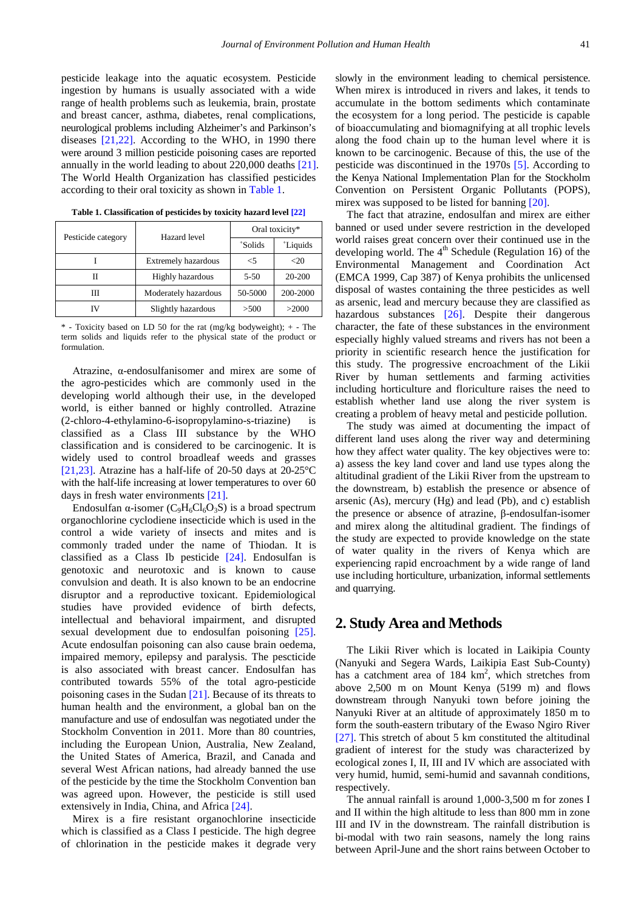pesticide leakage into the aquatic ecosystem. Pesticide ingestion by humans is usually associated with a wide range of health problems such as leukemia, brain, prostate and breast cancer, asthma, diabetes, renal complications, neurological problems including Alzheimer's and Parkinson's diseases [\[21,22\].](#page-12-16) According to the WHO, in 1990 there were around 3 million pesticide poisoning cases are reported annually in the world leading to about 220,000 deaths [\[21\].](#page-12-16) The World Health Organization has classified pesticides according to their oral toxicity as shown in [Table 1.](#page-2-0)

<span id="page-2-0"></span>

| Pesticide category | Hazard level               | Oral toxicity*       |                |
|--------------------|----------------------------|----------------------|----------------|
|                    |                            | <i><b>Solids</b></i> | <i>Liquids</i> |
|                    | <b>Extremely hazardous</b> | $<$ 5                | <20            |
|                    | <b>Highly hazardous</b>    | $5 - 50$             | 20-200         |
| Ш                  | Moderately hazardous       | 50-5000              | 200-2000       |
|                    | Slightly hazardous         | >500                 | >2000          |

**Table 1. Classification of pesticides by toxicity hazard leve[l \[22\]](#page-12-17)**

 $*$  - Toxicity based on LD 50 for the rat (mg/kg bodyweight);  $+$  - The term solids and liquids refer to the physical state of the product or formulation.

Atrazine, α-endosulfanisomer and mirex are some of the agro-pesticides which are commonly used in the developing world although their use, in the developed world, is either banned or highly controlled. Atrazine (2-chloro-4-ethylamino-6-isopropylamino-s-triazine) is classified as a Class III substance by the WHO classification and is considered to be carcinogenic. It is widely used to control broadleaf weeds and grasses [\[21,23\].](#page-12-16) Atrazine has a half-life of 20-50 days at 20-25°C with the half-life increasing at lower temperatures to over 60 days in fresh water environments [\[21\].](#page-12-16)

Endosulfan  $\alpha$ -isomer (C<sub>9</sub>H<sub>6</sub>Cl<sub>6</sub>O<sub>3</sub>S) is a broad spectrum organochlorine cyclodiene insecticide which is used in the control a wide variety of insects and mites and is commonly traded under the name of Thiodan. It is classified as a Class Ib pesticide [\[24\].](#page-12-18) Endosulfan is genotoxic and neurotoxic and is known to cause convulsion and death. It is also known to be an endocrine disruptor and a reproductive toxicant. Epidemiological studies have provided evidence of birth defects, intellectual and behavioral impairment, and disrupted sexual development due to endosulfan poisoning [\[25\].](#page-12-19) Acute endosulfan poisoning can also cause brain oedema, impaired memory, epilepsy and paralysis. The pescticide is also associated with breast cancer. Endosulfan has contributed towards 55% of the total agro-pesticide poisoning cases in the Sudan [\[21\].](#page-12-16) Because of its threats to human health and the environment, a global ban on the manufacture and use of endosulfan was negotiated under the Stockholm Convention in 2011. More than 80 countries, including the European Union, Australia, New Zealand, the United States of America, Brazil, and Canada and several West African nations, had already banned the use of the pesticide by the time the Stockholm Convention ban was agreed upon. However, the pesticide is still used extensively in India, China, and Africa [\[24\].](#page-12-18)

Mirex is a fire resistant organochlorine insecticide which is classified as a Class I pesticide. The high degree of chlorination in the pesticide makes it degrade very slowly in the environment leading to chemical persistence. When mirex is introduced in rivers and lakes, it tends to accumulate in the bottom sediments which contaminate the ecosystem for a long period. The pesticide is capable of bioaccumulating and biomagnifying at all trophic levels along the food chain up to the human level where it is known to be carcinogenic. Because of this, the use of the pesticide was discontinued in the 1970s [\[5\].](#page-12-4) According to the Kenya National Implementation Plan for the Stockholm Convention on Persistent Organic Pollutants (POPS), mirex was supposed to be listed for banning [\[20\].](#page-12-15)

The fact that atrazine, endosulfan and mirex are either banned or used under severe restriction in the developed world raises great concern over their continued use in the developing world. The  $4<sup>th</sup>$  Schedule (Regulation 16) of the Environmental Management and Coordination Act (EMCA 1999, Cap 387) of Kenya prohibits the unlicensed disposal of wastes containing the three pesticides as well as arsenic, lead and mercury because they are classified as hazardous substances [\[26\].](#page-12-20) Despite their dangerous character, the fate of these substances in the environment especially highly valued streams and rivers has not been a priority in scientific research hence the justification for this study. The progressive encroachment of the Likii River by human settlements and farming activities including horticulture and floriculture raises the need to establish whether land use along the river system is creating a problem of heavy metal and pesticide pollution.

The study was aimed at documenting the impact of different land uses along the river way and determining how they affect water quality. The key objectives were to: a) assess the key land cover and land use types along the altitudinal gradient of the Likii River from the upstream to the downstream, b) establish the presence or absence of arsenic (As), mercury (Hg) and lead (Pb), and c) establish the presence or absence of atrazine, β-endosulfan-isomer and mirex along the altitudinal gradient. The findings of the study are expected to provide knowledge on the state of water quality in the rivers of Kenya which are experiencing rapid encroachment by a wide range of land use including horticulture, urbanization, informal settlements and quarrying.

### **2. Study Area and Methods**

The Likii River which is located in Laikipia County (Nanyuki and Segera Wards, Laikipia East Sub-County) has a catchment area of  $184 \text{ km}^2$ , which stretches from above 2,500 m on Mount Kenya (5199 m) and flows downstream through Nanyuki town before joining the Nanyuki River at an altitude of approximately 1850 m to form the south-eastern tributary of the Ewaso Ngiro River [\[27\].](#page-12-21) This stretch of about 5 km constituted the altitudinal gradient of interest for the study was characterized by ecological zones I, II, III and IV which are associated with very humid, humid, semi-humid and savannah conditions, respectively.

The annual rainfall is around 1,000-3,500 m for zones I and II within the high altitude to less than 800 mm in zone III and IV in the downstream. The rainfall distribution is bi-modal with two rain seasons, namely the long rains between April-June and the short rains between October to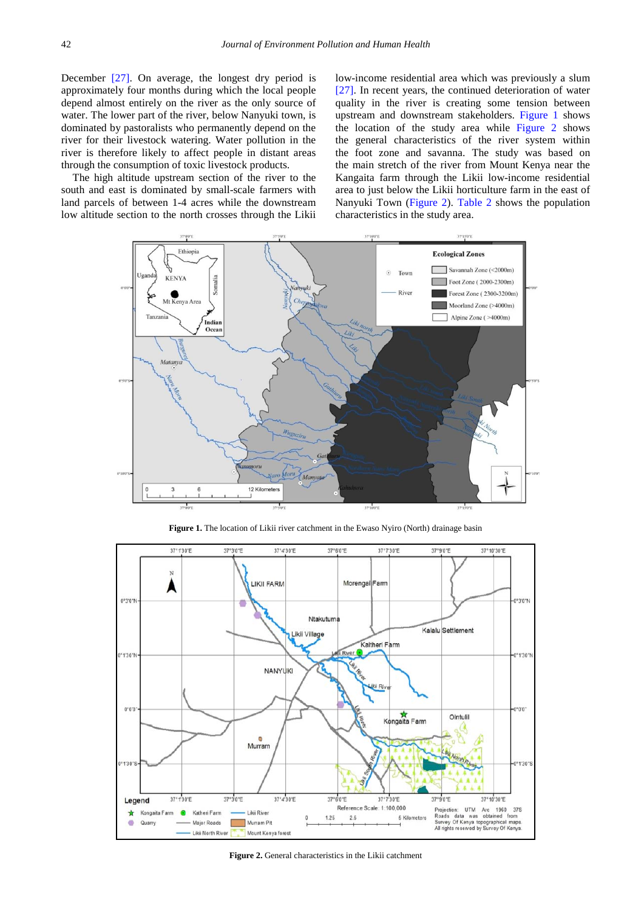December [\[27\].](#page-12-21) On average, the longest dry period is approximately four months during which the local people depend almost entirely on the river as the only source of water. The lower part of the river, below Nanyuki town, is dominated by pastoralists who permanently depend on the river for their livestock watering. Water pollution in the river is therefore likely to affect people in distant areas through the consumption of toxic livestock products.

<span id="page-3-0"></span>The high altitude upstream section of the river to the south and east is dominated by small-scale farmers with land parcels of between 1-4 acres while the downstream low altitude section to the north crosses through the Likii

low-income residential area which was previously a slum [\[27\].](#page-12-21) In recent years, the continued deterioration of water quality in the river is creating some tension between upstream and downstream stakeholders. [Figure 1](#page-3-0) shows the location of the study area while [Figure 2](#page-3-1) shows the general characteristics of the river system within the foot zone and savanna. The study was based on the main stretch of the river from Mount Kenya near the Kangaita farm through the Likii low-income residential area to just below the Likii horticulture farm in the east of Nanyuki Town [\(Figure 2\)](#page-3-1). [Table 2](#page-4-0) shows the population characteristics in the study area.



**Figure 1.** The location of Likii river catchment in the Ewaso Nyiro (North) drainage basin

<span id="page-3-1"></span>

**Figure 2.** General characteristics in the Likii catchment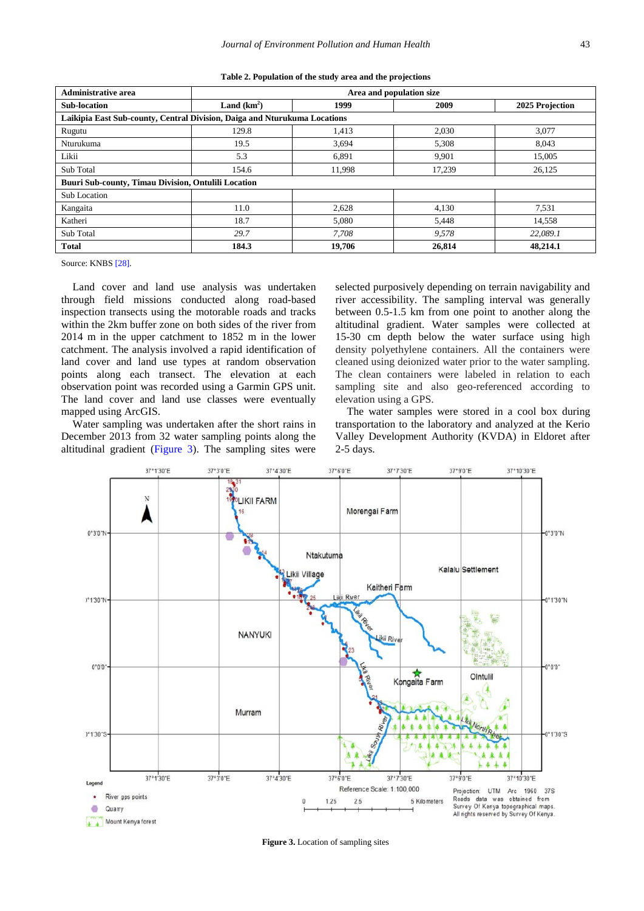|  |  |  |  | Table 2. Population of the study area and the projections |
|--|--|--|--|-----------------------------------------------------------|
|--|--|--|--|-----------------------------------------------------------|

<span id="page-4-0"></span>

| <b>Administrative area</b>                                                | Area and population size |        |        |                 |
|---------------------------------------------------------------------------|--------------------------|--------|--------|-----------------|
| <b>Sub-location</b>                                                       | Land $(km^2)$            | 1999   | 2009   | 2025 Projection |
| Laikipia East Sub-county, Central Division, Daiga and Nturukuma Locations |                          |        |        |                 |
| Rugutu                                                                    | 129.8                    | 1,413  | 2,030  | 3,077           |
| Nturukuma                                                                 | 19.5                     | 3.694  | 5.308  | 8.043           |
| Likii                                                                     | 5.3                      | 6,891  | 9,901  | 15,005          |
| Sub Total                                                                 | 154.6                    | 11,998 | 17,239 | 26,125          |
| <b>Buuri Sub-county, Timau Division, Ontulili Location</b>                |                          |        |        |                 |
| Sub Location                                                              |                          |        |        |                 |
| Kangaita                                                                  | 11.0                     | 2,628  | 4,130  | 7,531           |
| Katheri                                                                   | 18.7                     | 5.080  | 5,448  | 14,558          |
| Sub Total                                                                 | 29.7                     | 7.708  | 9.578  | 22,089.1        |
| <b>Total</b>                                                              | 184.3                    | 19,706 | 26,814 | 48,214.1        |

Source: KNB[S \[28\]](#page-12-22)*.*

Land cover and land use analysis was undertaken through field missions conducted along road-based inspection transects using the motorable roads and tracks within the 2km buffer zone on both sides of the river from 2014 m in the upper catchment to 1852 m in the lower catchment. The analysis involved a rapid identification of land cover and land use types at random observation points along each transect. The elevation at each observation point was recorded using a Garmin GPS unit. The land cover and land use classes were eventually mapped using ArcGIS.

Water sampling was undertaken after the short rains in December 2013 from 32 water sampling points along the altitudinal gradient [\(Figure 3\)](#page-4-1). The sampling sites were selected purposively depending on terrain navigability and river accessibility. The sampling interval was generally between 0.5-1.5 km from one point to another along the altitudinal gradient. Water samples were collected at 15-30 cm depth below the water surface using high density polyethylene containers. All the containers were cleaned using deionized water prior to the water sampling. The clean containers were labeled in relation to each sampling site and also geo-referenced according to elevation using a GPS.

The water samples were stored in a cool box during transportation to the laboratory and analyzed at the Kerio Valley Development Authority (KVDA) in Eldoret after 2-5 days.

<span id="page-4-1"></span>

**Figure 3.** Location of sampling sites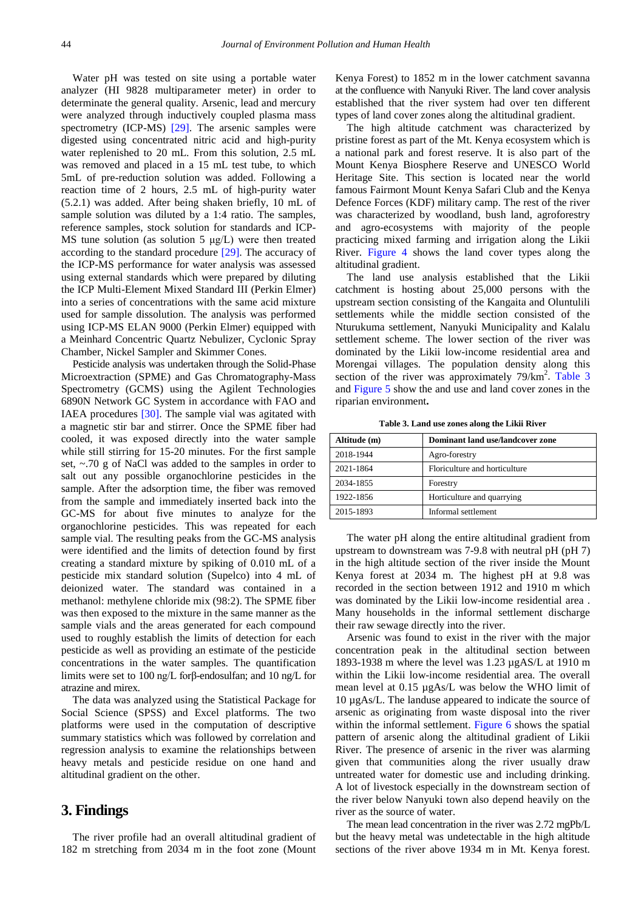Water pH was tested on site using a portable water analyzer (HI 9828 multiparameter meter) in order to determinate the general quality. Arsenic, lead and mercury were analyzed through inductively coupled plasma mass spectrometry (ICP-MS) [\[29\].](#page-12-23) The arsenic samples were digested using concentrated nitric acid and high-purity water replenished to 20 mL. From this solution, 2.5 mL was removed and placed in a 15 mL test tube, to which 5mL of pre-reduction solution was added. Following a reaction time of 2 hours, 2.5 mL of high-purity water (5.2.1) was added. After being shaken briefly, 10 mL of sample solution was diluted by a 1:4 ratio. The samples, reference samples, stock solution for standards and ICP-MS tune solution (as solution 5 μg/L) were then treated according to the standard procedure [\[29\].](#page-12-23) The accuracy of the ICP-MS performance for water analysis was assessed using external standards which were prepared by diluting the ICP Multi-Element Mixed Standard III (Perkin Elmer) into a series of concentrations with the same acid mixture used for sample dissolution. The analysis was performed using ICP-MS ELAN 9000 (Perkin Elmer) equipped with a Meinhard Concentric Quartz Nebulizer, Cyclonic Spray Chamber, Nickel Sampler and Skimmer Cones.

Pesticide analysis was undertaken through the Solid-Phase Microextraction (SPME) and Gas Chromatography-Mass Spectrometry (GCMS) using the Agilent Technologies 6890N Network GC System in accordance with FAO and IAEA procedures [\[30\].](#page-12-24) The sample vial was agitated with a magnetic stir bar and stirrer. Once the SPME fiber had cooled, it was exposed directly into the water sample while still stirring for 15-20 minutes. For the first sample set, ~.70 g of NaCl was added to the samples in order to salt out any possible organochlorine pesticides in the sample. After the adsorption time, the fiber was removed from the sample and immediately inserted back into the GC-MS for about five minutes to analyze for the organochlorine pesticides. This was repeated for each sample vial. The resulting peaks from the GC-MS analysis were identified and the limits of detection found by first creating a standard mixture by spiking of 0.010 mL of a pesticide mix standard solution (Supelco) into 4 mL of deionized water. The standard was contained in a methanol: methylene chloride mix (98:2). The SPME fiber was then exposed to the mixture in the same manner as the sample vials and the areas generated for each compound used to roughly establish the limits of detection for each pesticide as well as providing an estimate of the pesticide concentrations in the water samples. The quantification limits were set to 100 ng/L forβ-endosulfan; and 10 ng/L for atrazine and mirex.

The data was analyzed using the Statistical Package for Social Science (SPSS) and Excel platforms. The two platforms were used in the computation of descriptive summary statistics which was followed by correlation and regression analysis to examine the relationships between heavy metals and pesticide residue on one hand and altitudinal gradient on the other.

#### **3. Findings**

The river profile had an overall altitudinal gradient of 182 m stretching from 2034 m in the foot zone (Mount Kenya Forest) to 1852 m in the lower catchment savanna at the confluence with Nanyuki River. The land cover analysis established that the river system had over ten different types of land cover zones along the altitudinal gradient.

The high altitude catchment was characterized by pristine forest as part of the Mt. Kenya ecosystem which is a national park and forest reserve. It is also part of the Mount Kenya Biosphere Reserve and UNESCO World Heritage Site. This section is located near the world famous Fairmont Mount Kenya Safari Club and the Kenya Defence Forces (KDF) military camp. The rest of the river was characterized by woodland, bush land, agroforestry and agro-ecosystems with majority of the people practicing mixed farming and irrigation along the Likii River. [Figure 4](#page-6-0) shows the land cover types along the altitudinal gradient.

The land use analysis established that the Likii catchment is hosting about 25,000 persons with the upstream section consisting of the Kangaita and Oluntulili settlements while the middle section consisted of the Nturukuma settlement, Nanyuki Municipality and Kalalu settlement scheme. The lower section of the river was dominated by the Likii low-income residential area and Morengai villages. The population density along this section of the river was approximately  $79/\text{km}^2$ . [Table 3](#page-5-0) and [Figure 5](#page-7-0) show the and use and land cover zones in the riparian environment**.**

**Table 3. Land use zones along the Likii River**

<span id="page-5-0"></span>

| Altitude (m) | Dominant land use/landcover zone |
|--------------|----------------------------------|
| 2018-1944    | Agro-forestry                    |
| 2021-1864    | Floriculture and horticulture    |
| 2034-1855    | Forestry                         |
| 1922-1856    | Horticulture and quarrying       |
| 2015-1893    | Informal settlement              |

The water pH along the entire altitudinal gradient from upstream to downstream was 7-9.8 with neutral pH (pH 7) in the high altitude section of the river inside the Mount Kenya forest at 2034 m. The highest pH at 9.8 was recorded in the section between 1912 and 1910 m which was dominated by the Likii low-income residential area . Many households in the informal settlement discharge their raw sewage directly into the river.

Arsenic was found to exist in the river with the major concentration peak in the altitudinal section between 1893-1938 m where the level was 1.23 µgAS/L at 1910 m within the Likii low-income residential area. The overall mean level at 0.15 µgAs/L was below the WHO limit of 10 µgAs/L. The landuse appeared to indicate the source of arsenic as originating from waste disposal into the river within the informal settlement. [Figure 6](#page-7-1) shows the spatial pattern of arsenic along the altitudinal gradient of Likii River. The presence of arsenic in the river was alarming given that communities along the river usually draw untreated water for domestic use and including drinking. A lot of livestock especially in the downstream section of the river below Nanyuki town also depend heavily on the river as the source of water.

The mean lead concentration in the river was 2.72 mgPb/L but the heavy metal was undetectable in the high altitude sections of the river above 1934 m in Mt. Kenya forest.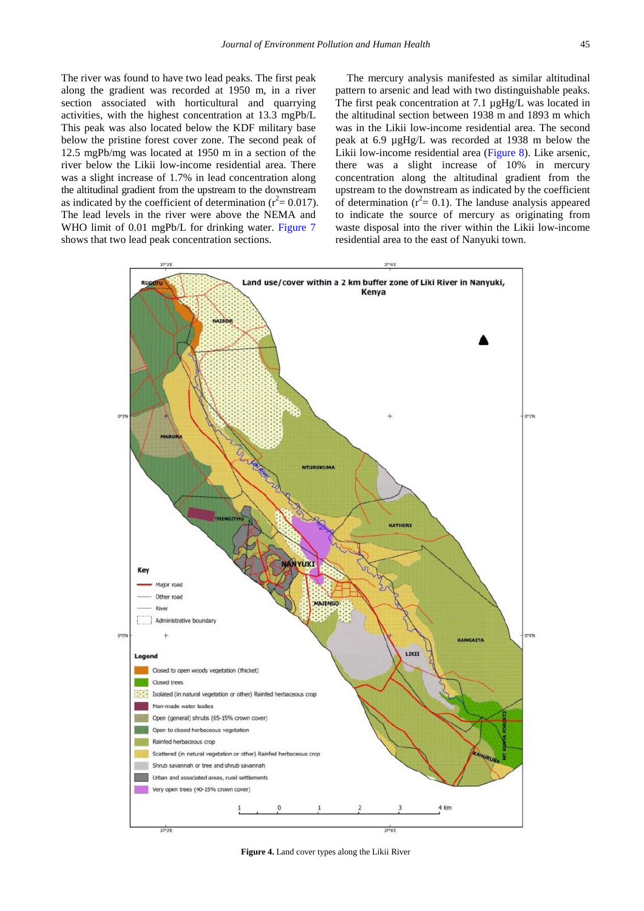The river was found to have two lead peaks. The first peak along the gradient was recorded at 1950 m, in a river section associated with horticultural and quarrying activities, with the highest concentration at 13.3 mgPb/L This peak was also located below the KDF military base below the pristine forest cover zone. The second peak of 12.5 mgPb/mg was located at 1950 m in a section of the river below the Likii low-income residential area. There was a slight increase of 1.7% in lead concentration along the altitudinal gradient from the upstream to the downstream as indicated by the coefficient of determination ( $r^2$  = 0.017). The lead levels in the river were above the NEMA and WHO limit of 0.01 mgPb/L for drinking water. [Figure 7](#page-8-0) shows that two lead peak concentration sections.

The mercury analysis manifested as similar altitudinal pattern to arsenic and lead with two distinguishable peaks. The first peak concentration at 7.1  $\mu$ gHg/L was located in the altitudinal section between 1938 m and 1893 m which was in the Likii low-income residential area. The second peak at 6.9 µgHg/L was recorded at 1938 m below the Likii low-income residential area [\(Figure 8\)](#page-8-1). Like arsenic, there was a slight increase of 10% in mercury concentration along the altitudinal gradient from the upstream to the downstream as indicated by the coefficient of determination ( $r^2$  = 0.1). The landuse analysis appeared to indicate the source of mercury as originating from waste disposal into the river within the Likii low-income residential area to the east of Nanyuki town.

<span id="page-6-0"></span>

**Figure 4.** Land cover types along the Likii River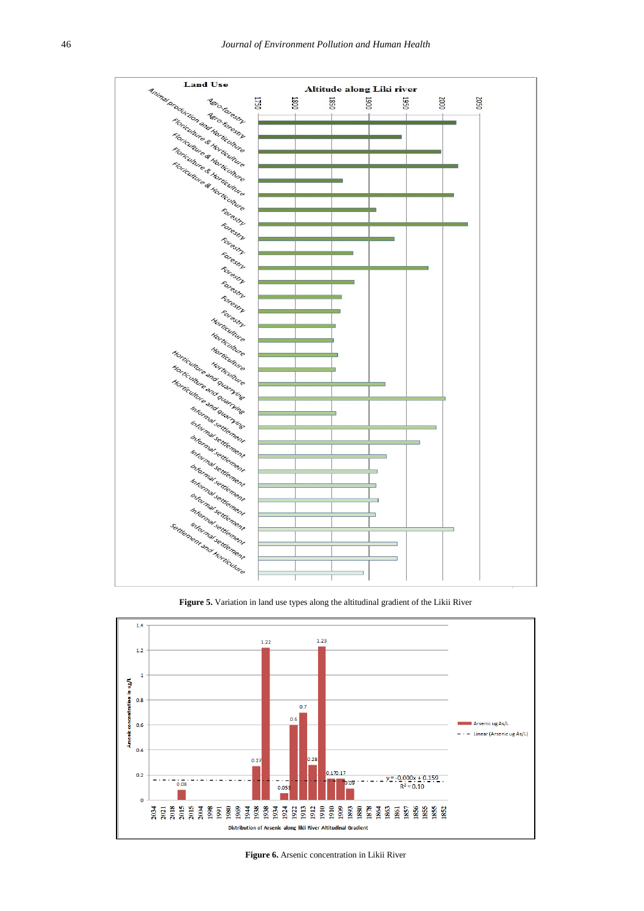<span id="page-7-0"></span>

**Figure 5.** Variation in land use types along the altitudinal gradient of the Likii River

<span id="page-7-1"></span>

**Figure 6.** Arsenic concentration in Likii River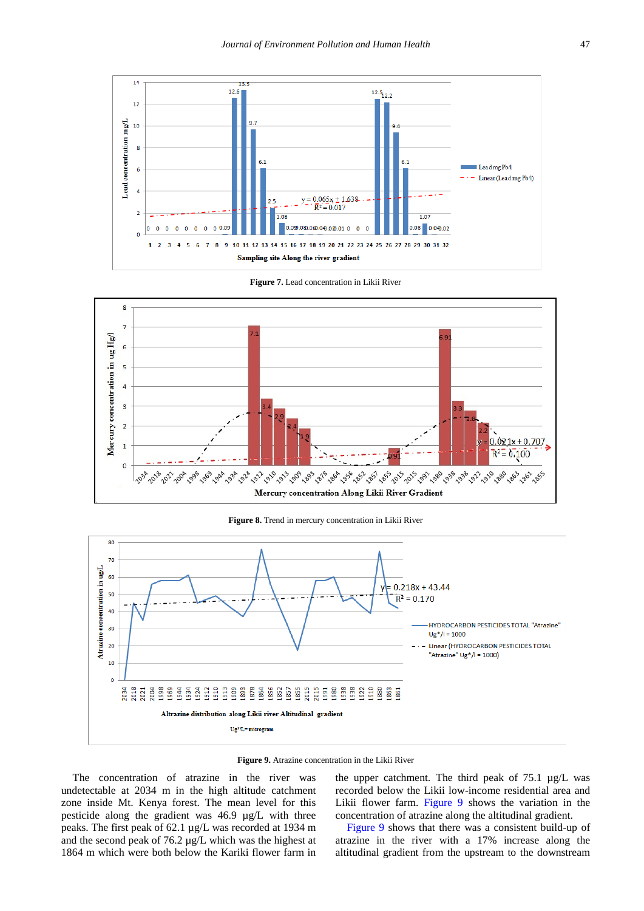<span id="page-8-0"></span>



<span id="page-8-1"></span>

**Figure 8.** Trend in mercury concentration in Likii River

<span id="page-8-2"></span>

**Figure 9.** Atrazine concentration in the Likii River

The concentration of atrazine in the river was undetectable at 2034 m in the high altitude catchment zone inside Mt. Kenya forest. The mean level for this pesticide along the gradient was 46.9 µg/L with three peaks. The first peak of 62.1 µg/L was recorded at 1934 m and the second peak of 76.2 µg/L which was the highest at 1864 m which were both below the Kariki flower farm in the upper catchment. The third peak of 75.1 µg/L was recorded below the Likii low-income residential area and Likii flower farm. [Figure 9](#page-8-2) shows the variation in the concentration of atrazine along the altitudinal gradient.

[Figure 9](#page-8-2) shows that there was a consistent build-up of atrazine in the river with a 17% increase along the altitudinal gradient from the upstream to the downstream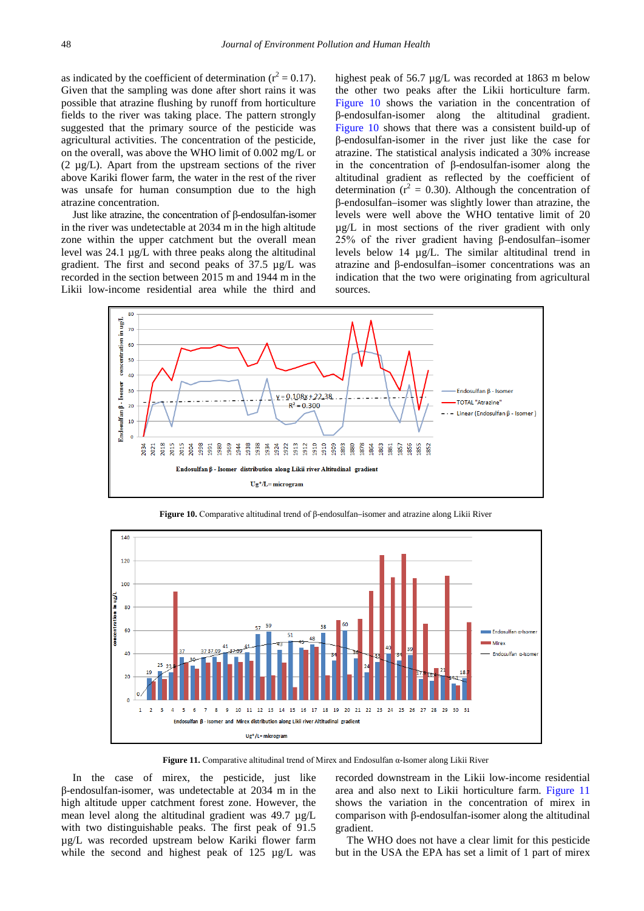as indicated by the coefficient of determination ( $r^2 = 0.17$ ). Given that the sampling was done after short rains it was possible that atrazine flushing by runoff from horticulture fields to the river was taking place. The pattern strongly suggested that the primary source of the pesticide was agricultural activities. The concentration of the pesticide, on the overall, was above the WHO limit of 0.002 mg/L or  $(2 \mu g/L)$ . Apart from the upstream sections of the river above Kariki flower farm, the water in the rest of the river was unsafe for human consumption due to the high atrazine concentration.

Just like atrazine, the concentration of β-endosulfan-isomer in the river was undetectable at 2034 m in the high altitude zone within the upper catchment but the overall mean level was 24.1 µg/L with three peaks along the altitudinal gradient. The first and second peaks of 37.5 µg/L was recorded in the section between 2015 m and 1944 m in the Likii low-income residential area while the third and highest peak of 56.7 µg/L was recorded at 1863 m below the other two peaks after the Likii horticulture farm. [Figure 10](#page-9-0) shows the variation in the concentration of β-endosulfan-isomer along the altitudinal gradient. [Figure 10](#page-9-0) shows that there was a consistent build-up of β-endosulfan-isomer in the river just like the case for atrazine. The statistical analysis indicated a 30% increase in the concentration of β-endosulfan-isomer along the altitudinal gradient as reflected by the coefficient of determination ( $r^2 = 0.30$ ). Although the concentration of β-endosulfan–isomer was slightly lower than atrazine, the levels were well above the WHO tentative limit of 20 µg/L in most sections of the river gradient with only 25% of the river gradient having β-endosulfan–isomer levels below 14 µg/L. The similar altitudinal trend in atrazine and β-endosulfan–isomer concentrations was an indication that the two were originating from agricultural sources.

<span id="page-9-0"></span>

<span id="page-9-1"></span>140 120 100 i in ug/L 80 ł  $60$ Endosulfan α-Iso 40 Endosulfan a-Isome  $\overline{2}$  $\sqrt{2}$ **R**  $\overline{a}$  $\overline{\mathbf{5}}$  $\epsilon$  $\overline{\mathbf{8}}$  $10$  $\overline{11}$ 12 13 14 15 16 17 18 19 20 21 22 23 24 25 26 27 28 29 30 31 Endosulfan B - Isomer and Mirex distribution along Likii river Altitudinal gradient  $Ug^*/L$ = microgram

**Figure 10.** Comparative altitudinal trend of β-endosulfan–isomer and atrazine along Likii River

**Figure 11.** Comparative altitudinal trend of Mirex and Endosulfan α-Isomer along Likii River

In the case of mirex, the pesticide, just like β-endosulfan-isomer, was undetectable at 2034 m in the high altitude upper catchment forest zone. However, the mean level along the altitudinal gradient was 49.7 µg/L with two distinguishable peaks. The first peak of 91.5 µg/L was recorded upstream below Kariki flower farm while the second and highest peak of 125  $\mu$ g/L was recorded downstream in the Likii low-income residential area and also next to Likii horticulture farm. [Figure 11](#page-9-1) shows the variation in the concentration of mirex in comparison with β-endosulfan-isomer along the altitudinal gradient.

The WHO does not have a clear limit for this pesticide but in the USA the EPA has set a limit of 1 part of mirex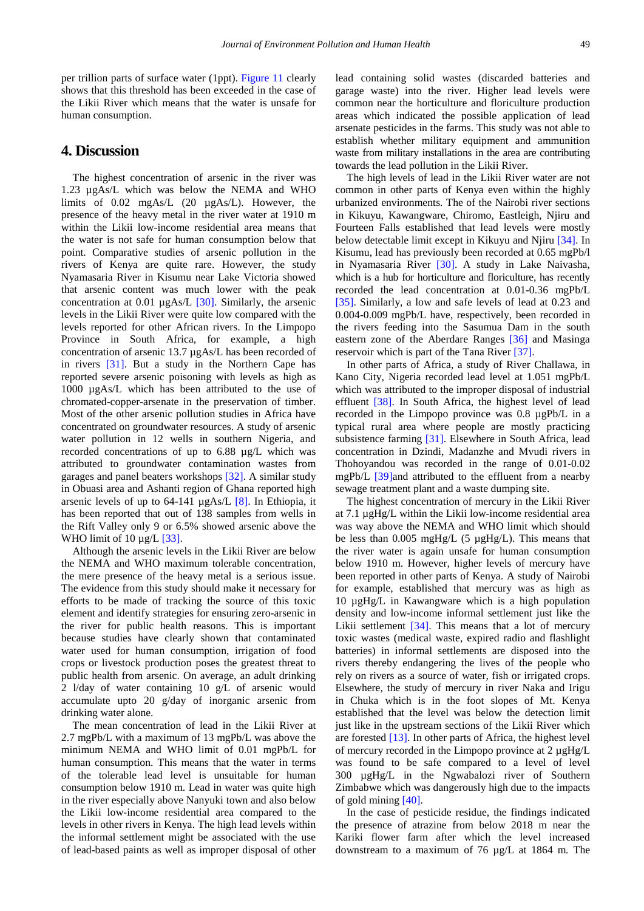per trillion parts of surface water (1ppt). [Figure 11](#page-9-1) clearly shows that this threshold has been exceeded in the case of the Likii River which means that the water is unsafe for human consumption.

#### **4. Discussion**

The highest concentration of arsenic in the river was 1.23 µgAs/L which was below the NEMA and WHO limits of 0.02 mgAs/L (20 µgAs/L). However, the presence of the heavy metal in the river water at 1910 m within the Likii low-income residential area means that the water is not safe for human consumption below that point. Comparative studies of arsenic pollution in the rivers of Kenya are quite rare. However, the study Nyamasaria River in Kisumu near Lake Victoria showed that arsenic content was much lower with the peak concentration at 0.01 µgAs/L [\[30\].](#page-12-24) Similarly, the arsenic levels in the Likii River were quite low compared with the levels reported for other African rivers. In the Limpopo Province in South Africa, for example, a high concentration of arsenic 13.7 µgAs/L has been recorded of in rivers [\[31\].](#page-12-25) But a study in the Northern Cape has reported severe arsenic poisoning with levels as high as 1000 µgAs/L which has been attributed to the use of chromated-copper-arsenate in the preservation of timber. Most of the other arsenic pollution studies in Africa have concentrated on groundwater resources. A study of arsenic water pollution in 12 wells in southern Nigeria, and recorded concentrations of up to 6.88 µg/L which was attributed to groundwater contamination wastes from garages and panel beaters workshops [\[32\].](#page-12-26) A similar study in Obuasi area and Ashanti region of Ghana reported high arsenic levels of up to 64-141 µgAs/L [\[8\].](#page-12-6) In Ethiopia, it has been reported that out of 138 samples from wells in the Rift Valley only 9 or 6.5% showed arsenic above the WHO limit of  $10 \mu g/L$  [\[33\].](#page-12-27)

Although the arsenic levels in the Likii River are below the NEMA and WHO maximum tolerable concentration, the mere presence of the heavy metal is a serious issue. The evidence from this study should make it necessary for efforts to be made of tracking the source of this toxic element and identify strategies for ensuring zero-arsenic in the river for public health reasons. This is important because studies have clearly shown that contaminated water used for human consumption, irrigation of food crops or livestock production poses the greatest threat to public health from arsenic. On average, an adult drinking 2 l/day of water containing 10 g/L of arsenic would accumulate upto 20 g/day of inorganic arsenic from drinking water alone.

The mean concentration of lead in the Likii River at 2.7 mgPb/L with a maximum of 13 mgPb/L was above the minimum NEMA and WHO limit of 0.01 mgPb/L for human consumption. This means that the water in terms of the tolerable lead level is unsuitable for human consumption below 1910 m. Lead in water was quite high in the river especially above Nanyuki town and also below the Likii low-income residential area compared to the levels in other rivers in Kenya. The high lead levels within the informal settlement might be associated with the use of lead-based paints as well as improper disposal of other

lead containing solid wastes (discarded batteries and garage waste) into the river. Higher lead levels were common near the horticulture and floriculture production areas which indicated the possible application of lead arsenate pesticides in the farms. This study was not able to establish whether military equipment and ammunition waste from military installations in the area are contributing towards the lead pollution in the Likii River.

The high levels of lead in the Likii River water are not common in other parts of Kenya even within the highly urbanized environments. The of the Nairobi river sections in Kikuyu, Kawangware, Chiromo, Eastleigh, Njiru and Fourteen Falls established that lead levels were mostly below detectable limit except in Kikuyu and Njiru [\[34\].](#page-12-28) In Kisumu, lead has previously been recorded at 0.65 mgPb/l in Nyamasaria River [\[30\].](#page-12-24) A study in Lake Naivasha, which is a hub for horticulture and floriculture, has recently recorded the lead concentration at 0.01-0.36 mgPb/L [\[35\].](#page-12-29) Similarly, a low and safe levels of lead at 0.23 and 0.004-0.009 mgPb/L have, respectively, been recorded in the rivers feeding into the Sasumua Dam in the south eastern zone of the Aberdare Ranges [\[36\]](#page-12-30) and Masinga reservoir which is part of the Tana River [\[37\].](#page-13-0)

In other parts of Africa, a study of River Challawa, in Kano City, Nigeria recorded lead level at 1.051 mgPb/L which was attributed to the improper disposal of industrial effluent [\[38\].](#page-13-1) In South Africa, the highest level of lead recorded in the Limpopo province was 0.8 µgPb/L in a typical rural area where people are mostly practicing subsistence farming [\[31\].](#page-12-25) Elsewhere in South Africa, lead concentration in Dzindi, Madanzhe and Mvudi rivers in Thohoyandou was recorded in the range of 0.01-0.02 mgPb/L [\[39\]a](#page-13-2)nd attributed to the effluent from a nearby sewage treatment plant and a waste dumping site.

The highest concentration of mercury in the Likii River at 7.1 µgHg/L within the Likii low-income residential area was way above the NEMA and WHO limit which should be less than  $0.005 \text{ mgHg/L}$  (5  $\mu$ gHg/L). This means that the river water is again unsafe for human consumption below 1910 m. However, higher levels of mercury have been reported in other parts of Kenya. A study of Nairobi for example, established that mercury was as high as 10 µgHg/L in Kawangware which is a high population density and low-income informal settlement just like the Likii settlement [\[34\].](#page-12-28) This means that a lot of mercury toxic wastes (medical waste, expired radio and flashlight batteries) in informal settlements are disposed into the rivers thereby endangering the lives of the people who rely on rivers as a source of water, fish or irrigated crops. Elsewhere, the study of mercury in river Naka and Irigu in Chuka which is in the foot slopes of Mt. Kenya established that the level was below the detection limit just like in the upstream sections of the Likii River which are forested  $[13]$ . In other parts of Africa, the highest level of mercury recorded in the Limpopo province at 2 µgHg/L was found to be safe compared to a level of level 300 µgHg/L in the Ngwabalozi river of Southern Zimbabwe which was dangerously high due to the impacts of gold mining [\[40\].](#page-13-3)

In the case of pesticide residue, the findings indicated the presence of atrazine from below 2018 m near the Kariki flower farm after which the level increased downstream to a maximum of 76 µg/L at 1864 m*.* The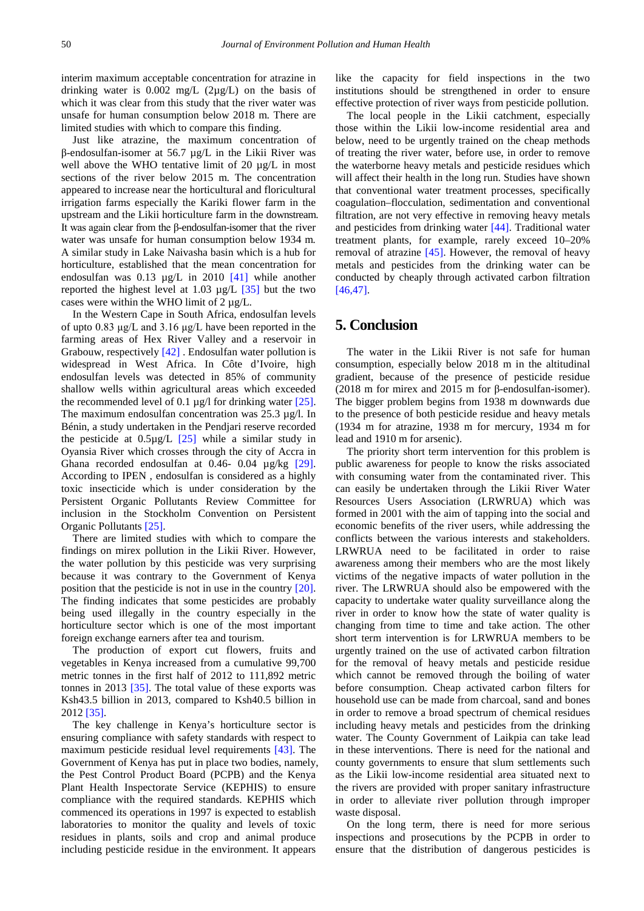interim maximum acceptable concentration for atrazine in drinking water is  $0.002 \text{ mg/L}$  (2 $\mu$ g/L) on the basis of which it was clear from this study that the river water was unsafe for human consumption below 2018 m. There are limited studies with which to compare this finding.

Just like atrazine, the maximum concentration of β-endosulfan-isomer at 56.7 µg/L in the Likii River was well above the WHO tentative limit of 20 µg/L in most sections of the river below 2015 m. The concentration appeared to increase near the horticultural and floricultural irrigation farms especially the Kariki flower farm in the upstream and the Likii horticulture farm in the downstream. It was again clear from the β-endosulfan-isomer that the river water was unsafe for human consumption below 1934 m*.*  A similar study in Lake Naivasha basin which is a hub for horticulture, established that the mean concentration for endosulfan was 0.13 µg/L in 2010 [\[41\]](#page-13-4) while another reported the highest level at 1.03 µg/L [\[35\]](#page-12-29) but the two cases were within the WHO limit of  $2 \mu g/L$ .

In the Western Cape in South Africa, endosulfan levels of upto 0.83 μg/L and 3.16 μg/L have been reported in the farming areas of Hex River Valley and a reservoir in Grabouw, respectively [\[42\]](#page-13-5) . Endosulfan water pollution is widespread in West Africa. In Côte d'Ivoire, high endosulfan levels was detected in 85% of community shallow wells within agricultural areas which exceeded the recommended level of 0.1  $\mu$ g/l for drinking water [\[25\].](#page-12-19) The maximum endosulfan concentration was 25.3 µg/l. In Bénin, a study undertaken in the Pendjari reserve recorded the pesticide at  $0.5\mu g/L$  [\[25\]](#page-12-19) while a similar study in Oyansia River which crosses through the city of Accra in Ghana recorded endosulfan at 0.46- 0.04 µg/kg [\[29\].](#page-12-23) According to IPEN , endosulfan is considered as a highly toxic insecticide which is under consideration by the Persistent Organic Pollutants Review Committee for inclusion in the Stockholm Convention on Persistent Organic Pollutants [\[25\].](#page-12-19)

There are limited studies with which to compare the findings on mirex pollution in the Likii River. However, the water pollution by this pesticide was very surprising because it was contrary to the Government of Kenya position that the pesticide is not in use in the country [\[20\].](#page-12-15) The finding indicates that some pesticides are probably being used illegally in the country especially in the horticulture sector which is one of the most important foreign exchange earners after tea and tourism.

The production of export cut flowers, fruits and vegetables in Kenya increased from a cumulative 99,700 metric tonnes in the first half of 2012 to 111,892 metric tonnes in 2013 [\[35\].](#page-12-29) The total value of these exports was Ksh43.5 billion in 2013, compared to Ksh40.5 billion in 2012 [\[35\].](#page-12-29)

The key challenge in Kenya's horticulture sector is ensuring compliance with safety standards with respect to maximum pesticide residual level requirements [\[43\].](#page-13-6) The Government of Kenya has put in place two bodies, namely, the Pest Control Product Board (PCPB) and the Kenya Plant Health Inspectorate Service (KEPHIS) to ensure compliance with the required standards. KEPHIS which commenced its operations in 1997 is expected to establish laboratories to monitor the quality and levels of toxic residues in plants, soils and crop and animal produce including pesticide residue in the environment. It appears

like the capacity for field inspections in the two institutions should be strengthened in order to ensure effective protection of river ways from pesticide pollution.

The local people in the Likii catchment, especially those within the Likii low-income residential area and below, need to be urgently trained on the cheap methods of treating the river water, before use, in order to remove the waterborne heavy metals and pesticide residues which will affect their health in the long run. Studies have shown that conventional water treatment processes, specifically coagulation–flocculation, sedimentation and conventional filtration, are not very effective in removing heavy metals and pesticides from drinking water [\[44\].](#page-13-7) Traditional water treatment plants, for example, rarely exceed 10–20% removal of atrazine  $[45]$ . However, the removal of heavy metals and pesticides from the drinking water can be conducted by cheaply through activated carbon filtration [\[46,47\].](#page-13-9)

## **5. Conclusion**

The water in the Likii River is not safe for human consumption, especially below 2018 m in the altitudinal gradient, because of the presence of pesticide residue (2018 m for mirex and 2015 m for β-endosulfan-isomer). The bigger problem begins from 1938 m downwards due to the presence of both pesticide residue and heavy metals (1934 m for atrazine, 1938 m for mercury, 1934 m for lead and 1910 m for arsenic).

The priority short term intervention for this problem is public awareness for people to know the risks associated with consuming water from the contaminated river. This can easily be undertaken through the Likii River Water Resources Users Association (LRWRUA) which was formed in 2001 with the aim of tapping into the social and economic benefits of the river users, while addressing the conflicts between the various interests and stakeholders. LRWRUA need to be facilitated in order to raise awareness among their members who are the most likely victims of the negative impacts of water pollution in the river. The LRWRUA should also be empowered with the capacity to undertake water quality surveillance along the river in order to know how the state of water quality is changing from time to time and take action. The other short term intervention is for LRWRUA members to be urgently trained on the use of activated carbon filtration for the removal of heavy metals and pesticide residue which cannot be removed through the boiling of water before consumption. Cheap activated carbon filters for household use can be made from charcoal, sand and bones in order to remove a broad spectrum of chemical residues including heavy metals and pesticides from the drinking water. The County Government of Laikpia can take lead in these interventions. There is need for the national and county governments to ensure that slum settlements such as the Likii low-income residential area situated next to the rivers are provided with proper sanitary infrastructure in order to alleviate river pollution through improper waste disposal.

On the long term, there is need for more serious inspections and prosecutions by the PCPB in order to ensure that the distribution of dangerous pesticides is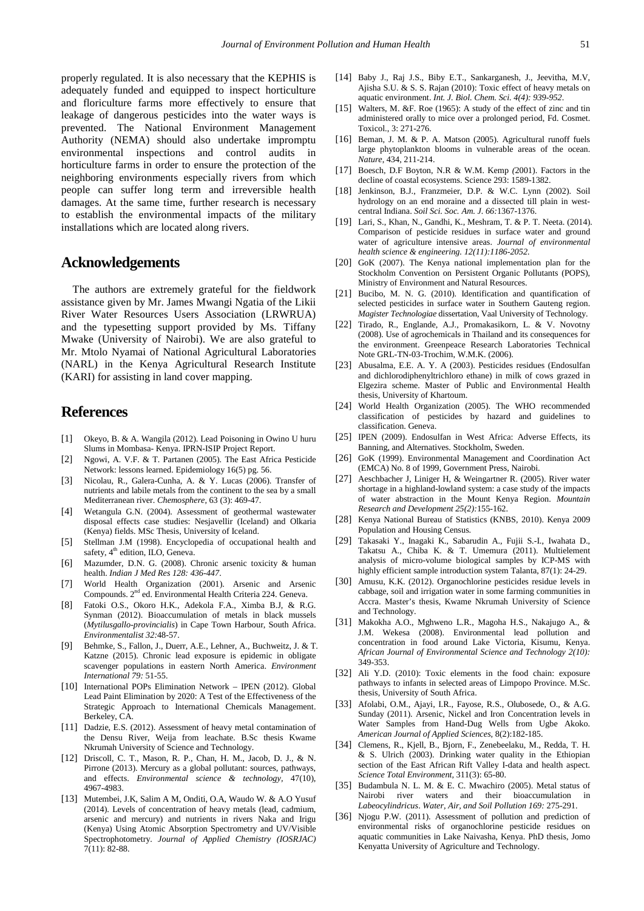properly regulated. It is also necessary that the KEPHIS is adequately funded and equipped to inspect horticulture and floriculture farms more effectively to ensure that leakage of dangerous pesticides into the water ways is prevented. The National Environment Management Authority (NEMA) should also undertake impromptu environmental inspections and control audits in horticulture farms in order to ensure the protection of the neighboring environments especially rivers from which people can suffer long term and irreversible health damages. At the same time, further research is necessary to establish the environmental impacts of the military installations which are located along rivers.

## **Acknowledgements**

The authors are extremely grateful for the fieldwork assistance given by Mr. James Mwangi Ngatia of the Likii River Water Resources Users Association (LRWRUA) and the typesetting support provided by Ms. Tiffany Mwake (University of Nairobi). We are also grateful to Mr. Mtolo Nyamai of National Agricultural Laboratories (NARL) in the Kenya Agricultural Research Institute (KARI) for assisting in land cover mapping.

### **References**

- <span id="page-12-0"></span>[1] Okeyo, B. & A. Wangila (2012). Lead Poisoning in Owino U huru Slums in Mombasa- Kenya. IPRN-ISIP Project Report.
- <span id="page-12-1"></span>[2] Ngowi, A. V.F. & T. Partanen (2005). The East Africa Pesticide Network: lessons learned. Epidemiology 16(5) pg. 56.
- <span id="page-12-2"></span>[3] Nicolau, R., Galera-Cunha, A. & Y. Lucas (2006). Transfer of nutrients and labile metals from the continent to the sea by a small Mediterranean river. *Chemosphere,* 63 (3): 469-47.
- <span id="page-12-3"></span>[4] Wetangula G.N. (2004). Assessment of geothermal wastewater disposal effects case studies: Nesjavellir (Iceland) and Olkaria (Kenya) fields. MSc Thesis, University of Iceland.
- <span id="page-12-4"></span>[5] Stellman J.M (1998). Encyclopedia of occupational health and safety, 4<sup>th</sup> edition, ILO, Geneva.
- [6] Mazumder, D.N. G. (2008). Chronic arsenic toxicity & human health. *Indian J Med Res 128: 436-447*.
- <span id="page-12-5"></span>[7] World Health Organization (2001). Arsenic and Arsenic Compounds. 2<sup>nd</sup> ed. Environmental Health Criteria 224. Geneva.
- <span id="page-12-6"></span>[8] Fatoki O.S., Okoro H.K., Adekola F.A., Ximba B.J, & R.G. Synman (2012). Bioaccumulation of metals in black mussels (*Mytilusgallo-provincialis*) in Cape Town Harbour, South Africa. *Environmentalist 32:*48-57.
- <span id="page-12-7"></span>[9] Behmke, S., Fallon, J., Duerr, A.E., Lehner, A., Buchweitz, J. & T. Katzne (2015). Chronic lead exposure is epidemic in obligate scavenger populations in eastern North America. *Environment International 79:* 51-55.
- <span id="page-12-8"></span>[10] International POPs Elimination Network - IPEN (2012). Global Lead Paint Elimination by 2020: A Test of the Effectiveness of the Strategic Approach to International Chemicals Management. Berkeley, CA.
- <span id="page-12-9"></span>[11] Dadzie, E.S. (2012). Assessment of heavy metal contamination of the Densu River, Weija from leachate. B.Sc thesis Kwame Nkrumah University of Science and Technology.
- <span id="page-12-10"></span>[12] Driscoll, C. T., Mason, R. P., Chan, H. M., Jacob, D. J., & N. Pirrone (2013). Mercury as a global pollutant: sources, pathways, and effects. *Environmental science & technology,* 47(10), 4967-4983.
- <span id="page-12-11"></span>[13] Mutembei, J.K, Salim A M, Onditi, O.A, Waudo W. & A.O Yusuf (2014). Levels of concentration of heavy metals (lead, cadmium, arsenic and mercury) and nutrients in rivers Naka and Irigu (Kenya) Using Atomic Absorption Spectrometry and UV/Visible Spectrophotometry. *Journal of Applied Chemistry (IOSRJAC)*  7(11): 82-88.
- <span id="page-12-12"></span>[14] Baby J., Raj J.S., Biby E.T., Sankarganesh, J., Jeevitha, M.V, Ajisha S.U. & S. S. Rajan (2010): Toxic effect of heavy metals on aquatic environment. *Int. J. Biol. Chem. Sci. 4(4): 939-952*.
- [15] Walters, M. &F. Roe (1965): A study of the effect of zinc and tin administered orally to mice over a prolonged period, Fd. Cosmet. Toxicol., 3: 271-276.
- <span id="page-12-13"></span>[16] Beman, J. M. & P. A. Matson (2005). Agricultural runoff fuels large phytoplankton blooms in vulnerable areas of the ocean. *Nature*, 434, 211-214.
- [17] Boesch, D.F Boyton, N.R & W.M. Kemp *(*2001). Factors in the decline of coastal ecosystems. Science 293: 1589-1382.
- [18] Jenkinson, B.J., Franzmeier, D.P. & W.C. Lynn (2002). Soil hydrology on an end moraine and a dissected till plain in westcentral Indiana. *Soil Sci. Soc. Am. J. 66:*1367-1376.
- <span id="page-12-14"></span>[19] Lari, S., Khan, N., Gandhi, K., Meshram, T. & P. T. Neeta. (2014). Comparison of pesticide residues in surface water and ground water of agriculture intensive areas. *Journal of environmental health science & engineering. 12(11):1186-2052.*
- <span id="page-12-15"></span>[20] GoK (2007). The Kenya national implementation plan for the Stockholm Convention on Persistent Organic Pollutants (POPS), Ministry of Environment and Natural Resources.
- <span id="page-12-16"></span>[21] Bucibo, M. N. G. (2010). Identification and quantification of selected pesticides in surface water in Southern Gauteng region. *Magister Technologiae* dissertation, Vaal University of Technology.
- <span id="page-12-17"></span>[22] Tirado, R., Englande, A.J., Promakasikorn, L. & V. Novotny (2008). Use of agrochemicals in Thailand and its consequences for the environment. Greenpeace Research Laboratories Technical Note GRL-TN-03-Trochim, W.M.K. (2006).
- [23] Abusalma, E.E. A. Y. A (2003). Pesticides residues (Endosulfan and dichlorodiphenyltrichloro ethane) in milk of cows grazed in Elgezira scheme. Master of Public and Environmental Health thesis, University of Khartoum.
- <span id="page-12-18"></span>[24] World Health Organization (2005). The WHO recommended classification of pesticides by hazard and guidelines to classification. Geneva.
- <span id="page-12-19"></span>[25] IPEN (2009). Endosulfan in West Africa: Adverse Effects, its Banning, and Alternatives. Stockholm, Sweden.
- <span id="page-12-20"></span>[26] GoK (1999). Environmental Management and Coordination Act (EMCA) No. 8 of 1999, Government Press, Nairobi.
- <span id="page-12-21"></span>[27] Aeschbacher J, Liniger H, & Weingartner R. (2005). River water shortage in a highland-lowland system: a case study of the impacts of water abstraction in the Mount Kenya Region. *Mountain Research and Development 25(2):*155-162.
- <span id="page-12-22"></span>[28] Kenya National Bureau of Statistics (KNBS, 2010). Kenya 2009 Population and Housing Census.
- <span id="page-12-23"></span>[29] Takasaki Y., Inagaki K., Sabarudin A., Fujii S.-I., Iwahata D., Takatsu A., Chiba K. & T. Umemura (2011). Multielement analysis of micro-volume biological samples by ICP-MS with highly efficient sample introduction system Talanta, 87(1): 24-29.
- <span id="page-12-24"></span>[30] Amusu, K.K. (2012). Organochlorine pesticides residue levels in cabbage, soil and irrigation water in some farming communities in Accra. Master's thesis, Kwame Nkrumah University of Science and Technology.
- <span id="page-12-25"></span>[31] Makokha A.O., Mghweno L.R., Magoha H.S., Nakajugo A., & J.M. Wekesa (2008). Environmental lead pollution and concentration in food around Lake Victoria, Kisumu, Kenya. *African Journal of Environmental Science and Technology 2(10):* 349-353.
- <span id="page-12-26"></span>[32] Ali Y.D. (2010): Toxic elements in the food chain: exposure pathways to infants in selected areas of Limpopo Province. M.Sc. thesis, University of South Africa.
- <span id="page-12-27"></span>[33] Afolabi, O.M., Ajayi, I.R., Fayose, R.S., Olubosede, O., & A.G. Sunday (2011). Arsenic, Nickel and Iron Concentration levels in Water Samples from Hand-Dug Wells from Ugbe Akoko. *American Journal of Applied Sciences,* 8(2):182-185.
- <span id="page-12-28"></span>[34] Clemens, R., Kjell, B., Bjorn, F., Zenebeelaku, M., Redda, T. H. & S. Ulrich (2003). Drinking water quality in the Ethiopian section of the East African Rift Valley I-data and health aspect. *Science Total Environment,* 311(3): 65-80.
- <span id="page-12-29"></span>[35] Budambula N. L. M. & E. C. Mwachiro (2005). Metal status of Nairobi river waters and their bioaccumulation in *Labeocylindricus*. *Water, Air, and Soil Pollution 169:* 275-291.
- <span id="page-12-30"></span>[36] Njogu P.W. (2011). Assessment of pollution and prediction of environmental risks of organochlorine pesticide residues on aquatic communities in Lake Naivasha, Kenya. PhD thesis, Jomo Kenyatta University of Agriculture and Technology.